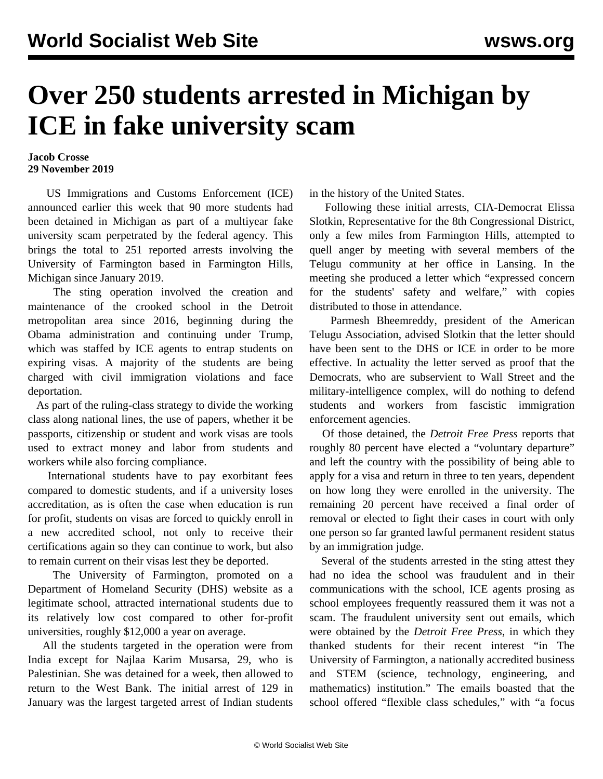## **Over 250 students arrested in Michigan by ICE in fake university scam**

## **Jacob Crosse 29 November 2019**

 US Immigrations and Customs Enforcement (ICE) announced earlier this week that 90 more students had been detained in Michigan as part of a multiyear fake university scam perpetrated by the federal agency. This brings the total to 251 reported arrests involving the University of Farmington based in Farmington Hills, Michigan since January 2019.

 The sting operation involved the creation and maintenance of the crooked school in the Detroit metropolitan area since 2016, beginning during the Obama administration and continuing under Trump, which was staffed by ICE agents to entrap students on expiring visas. A majority of the students are being charged with civil immigration violations and face deportation.

 As part of the ruling-class strategy to divide the working class along national lines, the use of papers, whether it be passports, citizenship or student and work visas are tools used to extract money and labor from students and workers while also forcing compliance.

 International students have to pay exorbitant fees compared to domestic students, and if a university loses accreditation, as is often the case when education is run for profit, students on visas are forced to quickly enroll in a new accredited school, not only to receive their certifications again so they can continue to work, but also to remain current on their visas lest they be deported.

 The University of Farmington, promoted on a Department of Homeland Security (DHS) website as a legitimate school, attracted international students due to its relatively low cost compared to other for-profit universities, roughly \$12,000 a year on average.

 All the students targeted in the operation were from India except for Najlaa Karim Musarsa, 29, who is Palestinian. She was detained for a week, then allowed to return to the West Bank. The initial arrest of 129 in January was the largest targeted arrest of Indian students in the history of the United States.

 Following these initial arrests, [CIA-Democrat Elissa](/en/articles/2018/09/01/slot-s01.html) [Slotkin,](/en/articles/2018/09/01/slot-s01.html) Representative for the 8th Congressional District, only a few miles from Farmington Hills, attempted to quell anger by meeting with several members of the Telugu community at her office in Lansing. In the meeting she produced a letter which "expressed concern for the students' safety and welfare," with copies distributed to those in attendance.

 Parmesh Bheemreddy, president of the American Telugu Association, advised Slotkin that the letter should have been sent to the DHS or ICE in order to be more effective. In actuality the letter served as proof that the Democrats, who are subservient to Wall Street and the military-intelligence complex, will do nothing to defend students and workers from fascistic immigration enforcement agencies.

 Of those detained, the *Detroit Free Press* reports that roughly 80 percent have elected a "voluntary departure" and left the country with the possibility of being able to apply for a visa and return in three to ten years, dependent on how long they were enrolled in the university. The remaining 20 percent have received a final order of removal or elected to fight their cases in court with only one person so far granted lawful permanent resident status by an immigration judge.

 Several of the students arrested in the sting attest they had no idea the school was fraudulent and in their communications with the school, ICE agents prosing as school employees frequently reassured them it was not a scam. The fraudulent university sent out emails, which were obtained by the *Detroit Free Press*, in which they thanked students for their recent interest "in The University of Farmington, a nationally accredited business and STEM (science, technology, engineering, and mathematics) institution." The emails boasted that the school offered "flexible class schedules," with "a focus